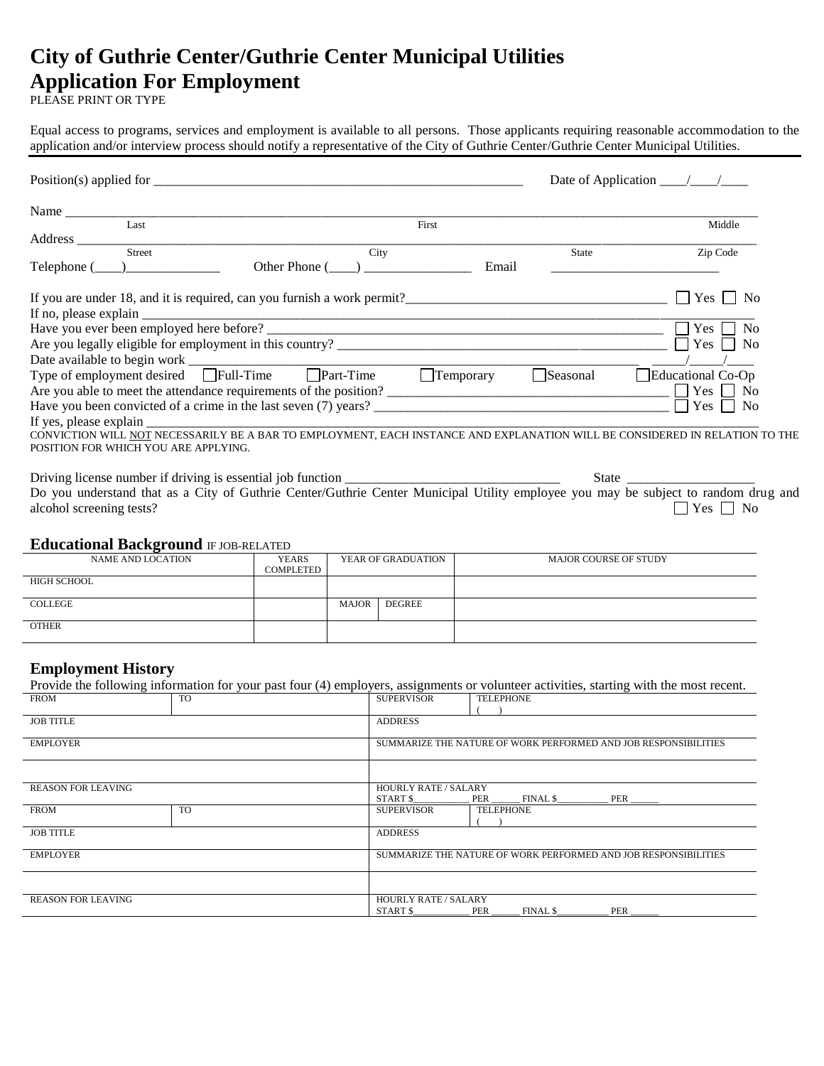# **City of Guthrie Center/Guthrie Center Municipal Utilities Application For Employment**

PLEASE PRINT OR TYPE

Equal access to programs, services and employment is available to all persons. Those applicants requiring reasonable accommodation to the application and/or interview process should notify a representative of the City of Guthrie Center/Guthrie Center Municipal Utilities.

|                                                                                                                                                                                                                               |                  |          | Date of Application $\frac{\sqrt{2}}{2}$  |
|-------------------------------------------------------------------------------------------------------------------------------------------------------------------------------------------------------------------------------|------------------|----------|-------------------------------------------|
| Name and the same state of the state of the state of the state of the state of the state of the state of the state of the state of the state of the state of the state of the state of the state of the state of the state of |                  |          |                                           |
| Last                                                                                                                                                                                                                          | First            |          | Middle                                    |
|                                                                                                                                                                                                                               |                  |          |                                           |
| <b>Street</b>                                                                                                                                                                                                                 | City             | State    | Zip Code                                  |
| Other Phone ()<br>$Telephone (\_\_)$                                                                                                                                                                                          | Email            |          |                                           |
|                                                                                                                                                                                                                               |                  |          | Yes<br>N <sub>0</sub><br>$\perp$          |
|                                                                                                                                                                                                                               |                  |          |                                           |
|                                                                                                                                                                                                                               |                  |          | $Yes \perp$<br>N <sub>o</sub>             |
|                                                                                                                                                                                                                               |                  |          | $\overline{\text{Yes}}$<br>N <sub>0</sub> |
|                                                                                                                                                                                                                               |                  |          |                                           |
| Date available to begin work<br>Type of employment desired Full-Time<br>Temperature Trem                                                                                                                                      | $\Box$ Temporary | Seasonal | Educational Co-Op                         |
| Are you able to meet the attendance requirements of the position?                                                                                                                                                             |                  |          |                                           |
| Have you been convicted of a crime in the last seven (7) years?                                                                                                                                                               |                  |          | Yes  <br>No                               |
|                                                                                                                                                                                                                               |                  |          |                                           |
| CONVICTION WILL NOT NECESSARILY BE A BAR TO EMPLOYMENT, EACH INSTANCE AND EXPLANATION WILL BE CONSIDERED IN RELATION TO THE<br>POSITION FOR WHICH YOU ARE APPLYING.                                                           |                  |          |                                           |
|                                                                                                                                                                                                                               |                  |          |                                           |
|                                                                                                                                                                                                                               |                  |          |                                           |

Do you understand that as a City of Guthrie Center/Guthrie Center Municipal Utility employee you may be subject to random drug and alcohol screening tests?  $\Box$  Yes  $\Box$  No

### **Educational Background** IF JOB-RELATED

| $=$ $\frac{1}{2}$ $\frac{1}{2}$ $\frac{1}{2}$ $\frac{1}{2}$ $\frac{1}{2}$ $\frac{1}{2}$ $\frac{1}{2}$ $\frac{1}{2}$ $\frac{1}{2}$ $\frac{1}{2}$ $\frac{1}{2}$ $\frac{1}{2}$ |       |        |                       |  |
|-----------------------------------------------------------------------------------------------------------------------------------------------------------------------------|-------|--------|-----------------------|--|
| <b>YEARS</b>                                                                                                                                                                |       |        | MAJOR COURSE OF STUDY |  |
| COMPLETED                                                                                                                                                                   |       |        |                       |  |
|                                                                                                                                                                             |       |        |                       |  |
|                                                                                                                                                                             |       |        |                       |  |
|                                                                                                                                                                             | MAJOR | DEGREE |                       |  |
|                                                                                                                                                                             |       |        |                       |  |
|                                                                                                                                                                             |       |        |                       |  |
|                                                                                                                                                                             |       |        |                       |  |
|                                                                                                                                                                             |       |        | YEAR OF GRADUATION    |  |

## **Employment History**

|                           |                             |                                                                 | Provide the following information for your past four (4) employers, assignments or volunteer activities, starting with the most recent. |
|---------------------------|-----------------------------|-----------------------------------------------------------------|-----------------------------------------------------------------------------------------------------------------------------------------|
| <b>FROM</b>               | TO.                         | <b>SUPERVISOR</b>                                               | <b>TELEPHONE</b>                                                                                                                        |
|                           |                             |                                                                 |                                                                                                                                         |
| <b>JOB TITLE</b>          |                             | <b>ADDRESS</b>                                                  |                                                                                                                                         |
| <b>EMPLOYER</b>           |                             | SUMMARIZE THE NATURE OF WORK PERFORMED AND JOB RESPONSIBILITIES |                                                                                                                                         |
|                           |                             |                                                                 |                                                                                                                                         |
| <b>REASON FOR LEAVING</b> |                             | <b>HOURLY RATE / SALARY</b>                                     |                                                                                                                                         |
|                           |                             | START \$                                                        |                                                                                                                                         |
| <b>FROM</b>               | <b>TO</b>                   | <b>SUPERVISOR</b>                                               | <b>TELEPHONE</b>                                                                                                                        |
|                           |                             |                                                                 |                                                                                                                                         |
| <b>JOB TITLE</b>          |                             | <b>ADDRESS</b>                                                  |                                                                                                                                         |
| <b>EMPLOYER</b>           |                             | SUMMARIZE THE NATURE OF WORK PERFORMED AND JOB RESPONSIBILITIES |                                                                                                                                         |
|                           |                             |                                                                 |                                                                                                                                         |
| <b>REASON FOR LEAVING</b> | <b>HOURLY RATE / SALARY</b> |                                                                 |                                                                                                                                         |
|                           |                             | START \$                                                        | PER<br>FINAL \$<br>PER                                                                                                                  |